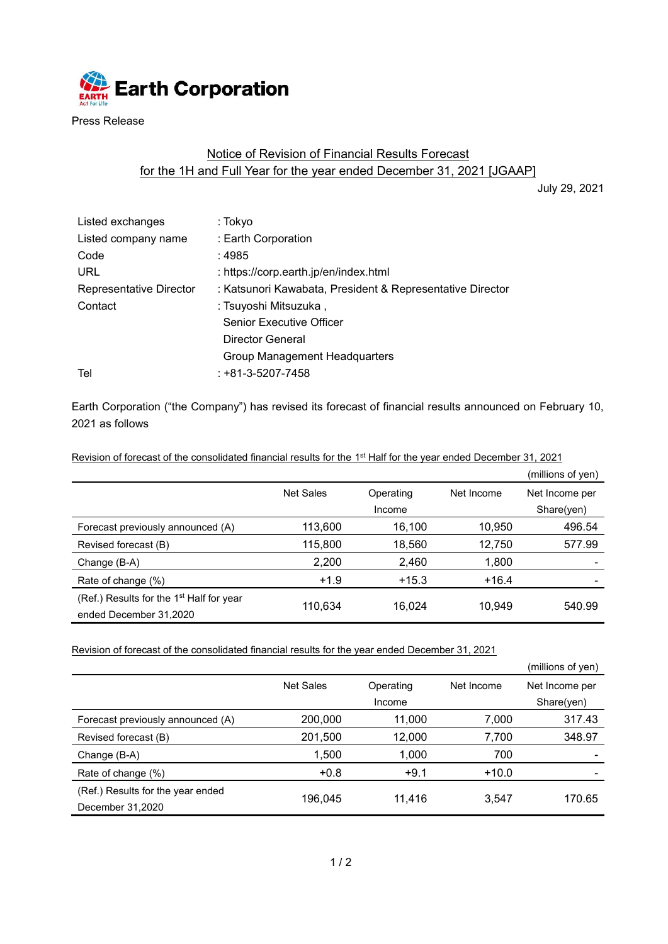

Press Release

## Notice of Revision of Financial Results Forecast for the 1H and Full Year for the year ended December 31, 2021 [JGAAP]

July 29, 2021

| Listed exchanges        | : Tokyo                                                   |
|-------------------------|-----------------------------------------------------------|
| Listed company name     | : Earth Corporation                                       |
| Code                    | : 4985                                                    |
| URL                     | : https://corp.earth.jp/en/index.html                     |
| Representative Director | : Katsunori Kawabata, President & Representative Director |
| Contact                 | : Tsuyoshi Mitsuzuka,                                     |
|                         | <b>Senior Executive Officer</b>                           |
|                         | Director General                                          |
|                         | Group Management Headquarters                             |
| Tel                     | $: +81 - 3 - 5207 - 7458$                                 |
|                         |                                                           |

Earth Corporation ("the Company") has revised its forecast of financial results announced on February 10, 2021 as follows

Revision of forecast of the consolidated financial results for the 1<sup>st</sup> Half for the year ended December 31, 2021

|                                            |           |           |            | (millions of yen) |
|--------------------------------------------|-----------|-----------|------------|-------------------|
|                                            | Net Sales | Operating | Net Income | Net Income per    |
|                                            |           | Income    |            | Share(yen)        |
| Forecast previously announced (A)          | 113,600   | 16,100    | 10,950     | 496.54            |
| Revised forecast (B)                       | 115,800   | 18,560    | 12,750     | 577.99            |
| Change (B-A)                               | 2,200     | 2,460     | 1,800      |                   |
| Rate of change (%)                         | $+1.9$    | $+15.3$   | $+16.4$    |                   |
| (Ref.) Results for the $1st$ Half for year | 110.634   | 16.024    | 10.949     | 540.99            |
| ended December 31,2020                     |           |           |            |                   |

Revision of forecast of the consolidated financial results for the year ended December 31, 2021

|                                   |                  |           |            | (millions of yen) |
|-----------------------------------|------------------|-----------|------------|-------------------|
|                                   | <b>Net Sales</b> | Operating | Net Income | Net Income per    |
|                                   |                  | Income    |            | Share(yen)        |
| Forecast previously announced (A) | 200,000          | 11,000    | 7,000      | 317.43            |
| Revised forecast (B)              | 201,500          | 12,000    | 7,700      | 348.97            |
| Change (B-A)                      | 1,500            | 1,000     | 700        |                   |
| Rate of change (%)                | $+0.8$           | $+9.1$    | $+10.0$    |                   |
| (Ref.) Results for the year ended | 196.045          | 11.416    | 3.547      | 170.65            |
| December 31,2020                  |                  |           |            |                   |